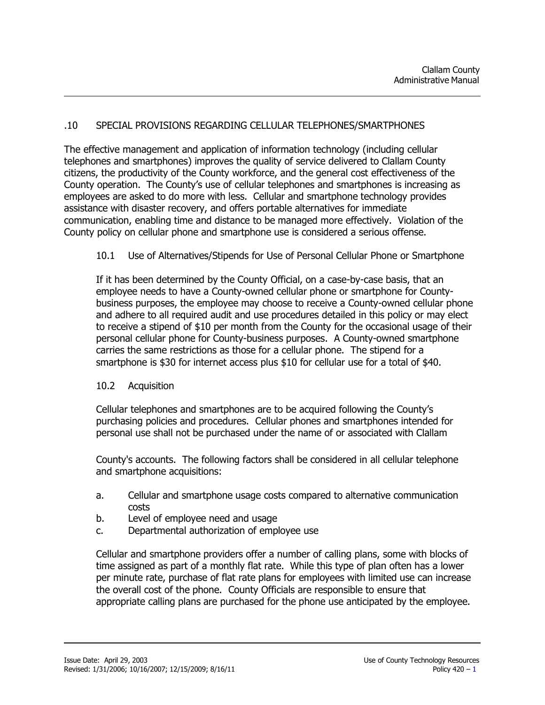### .10 SPECIAL PROVISIONS REGARDING CELLULAR TELEPHONES/SMARTPHONES

The effective management and application of information technology (including cellular telephones and smartphones) improves the quality of service delivered to Clallam County citizens, the productivity of the County workforce, and the general cost effectiveness of the County operation. The County's use of cellular telephones and smartphones is increasing as employees are asked to do more with less. Cellular and smartphone technology provides assistance with disaster recovery, and offers portable alternatives for immediate communication, enabling time and distance to be managed more effectively. Violation of the County policy on cellular phone and smartphone use is considered a serious offense.

#### 10.1 Use of Alternatives/Stipends for Use of Personal Cellular Phone or Smartphone

If it has been determined by the County Official, on a case-by-case basis, that an employee needs to have a County-owned cellular phone or smartphone for Countybusiness purposes, the employee may choose to receive a County-owned cellular phone and adhere to all required audit and use procedures detailed in this policy or may elect to receive a stipend of \$10 per month from the County for the occasional usage of their personal cellular phone for County-business purposes. A County-owned smartphone carries the same restrictions as those for a cellular phone. The stipend for a smartphone is \$30 for internet access plus \$10 for cellular use for a total of \$40.

#### 10.2 Acquisition

Cellular telephones and smartphones are to be acquired following the County's purchasing policies and procedures. Cellular phones and smartphones intended for personal use shall not be purchased under the name of or associated with Clallam

County's accounts. The following factors shall be considered in all cellular telephone and smartphone acquisitions:

- a. Cellular and smartphone usage costs compared to alternative communication costs
- b. Level of employee need and usage
- c. Departmental authorization of employee use

Cellular and smartphone providers offer a number of calling plans, some with blocks of time assigned as part of a monthly flat rate. While this type of plan often has a lower per minute rate, purchase of flat rate plans for employees with limited use can increase the overall cost of the phone. County Officials are responsible to ensure that appropriate calling plans are purchased for the phone use anticipated by the employee.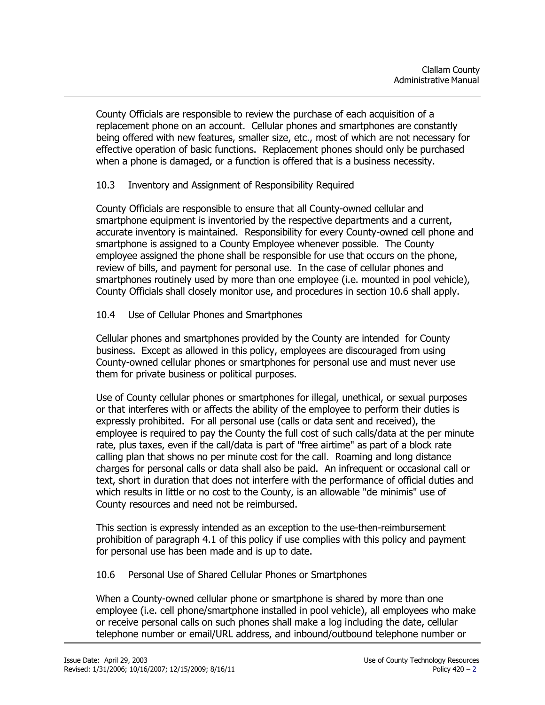County Officials are responsible to review the purchase of each acquisition of a replacement phone on an account. Cellular phones and smartphones are constantly being offered with new features, smaller size, etc., most of which are not necessary for effective operation of basic functions. Replacement phones should only be purchased when a phone is damaged, or a function is offered that is a business necessity.

# 10.3 Inventory and Assignment of Responsibility Required

County Officials are responsible to ensure that all County-owned cellular and smartphone equipment is inventoried by the respective departments and a current, accurate inventory is maintained. Responsibility for every County-owned cell phone and smartphone is assigned to a County Employee whenever possible. The County employee assigned the phone shall be responsible for use that occurs on the phone, review of bills, and payment for personal use. In the case of cellular phones and smartphones routinely used by more than one employee (i.e. mounted in pool vehicle), County Officials shall closely monitor use, and procedures in section 10.6 shall apply.

## 10.4 Use of Cellular Phones and Smartphones

Cellular phones and smartphones provided by the County are intended for County business. Except as allowed in this policy, employees are discouraged from using County-owned cellular phones or smartphones for personal use and must never use them for private business or political purposes.

Use of County cellular phones or smartphones for illegal, unethical, or sexual purposes or that interferes with or affects the ability of the employee to perform their duties is expressly prohibited. For all personal use (calls or data sent and received), the employee is required to pay the County the full cost of such calls/data at the per minute rate, plus taxes, even if the call/data is part of "free airtime" as part of a block rate calling plan that shows no per minute cost for the call. Roaming and long distance charges for personal calls or data shall also be paid. An infrequent or occasional call or text, short in duration that does not interfere with the performance of official duties and which results in little or no cost to the County, is an allowable "de minimis" use of County resources and need not be reimbursed.

This section is expressly intended as an exception to the use-then-reimbursement prohibition of paragraph 4.1 of this policy if use complies with this policy and payment for personal use has been made and is up to date.

## 10.6 Personal Use of Shared Cellular Phones or Smartphones

When a County-owned cellular phone or smartphone is shared by more than one employee (i.e. cell phone/smartphone installed in pool vehicle), all employees who make or receive personal calls on such phones shall make a log including the date, cellular telephone number or email/URL address, and inbound/outbound telephone number or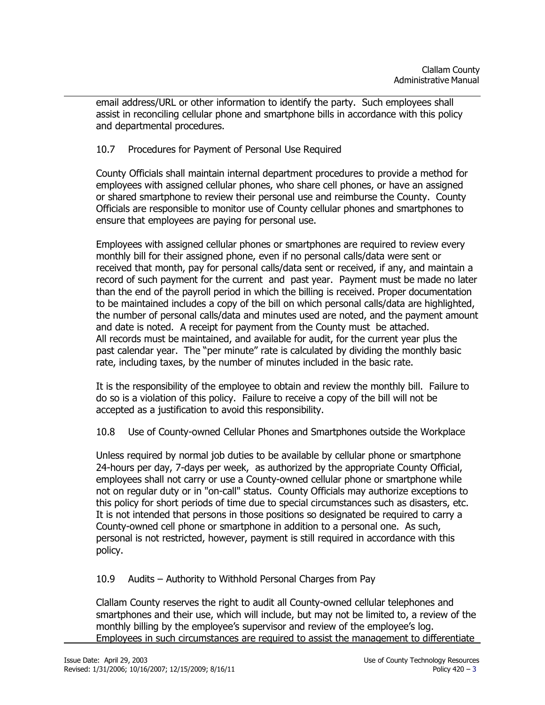email address/URL or other information to identify the party. Such employees shall assist in reconciling cellular phone and smartphone bills in accordance with this policy and departmental procedures.

## 10.7 Procedures for Payment of Personal Use Required

County Officials shall maintain internal department procedures to provide a method for employees with assigned cellular phones, who share cell phones, or have an assigned or shared smartphone to review their personal use and reimburse the County. County Officials are responsible to monitor use of County cellular phones and smartphones to ensure that employees are paying for personal use.

Employees with assigned cellular phones or smartphones are required to review every monthly bill for their assigned phone, even if no personal calls/data were sent or received that month, pay for personal calls/data sent or received, if any, and maintain a record of such payment for the current and past year. Payment must be made no later than the end of the payroll period in which the billing is received. Proper documentation to be maintained includes a copy of the bill on which personal calls/data are highlighted, the number of personal calls/data and minutes used are noted, and the payment amount and date is noted. A receipt for payment from the County must be attached. All records must be maintained, and available for audit, for the current year plus the past calendar year. The "per minute" rate is calculated by dividing the monthly basic rate, including taxes, by the number of minutes included in the basic rate.

It is the responsibility of the employee to obtain and review the monthly bill. Failure to do so is a violation of this policy. Failure to receive a copy of the bill will not be accepted as a justification to avoid this responsibility.

10.8 Use of County-owned Cellular Phones and Smartphones outside the Workplace

Unless required by normal job duties to be available by cellular phone or smartphone 24-hours per day, 7-days per week, as authorized by the appropriate County Official, employees shall not carry or use a County-owned cellular phone or smartphone while not on regular duty or in "on-call" status. County Officials may authorize exceptions to this policy for short periods of time due to special circumstances such as disasters, etc. It is not intended that persons in those positions so designated be required to carry a County-owned cell phone or smartphone in addition to a personal one. As such, personal is not restricted, however, payment is still required in accordance with this policy.

10.9 Audits – Authority to Withhold Personal Charges from Pay

Clallam County reserves the right to audit all County-owned cellular telephones and smartphones and their use, which will include, but may not be limited to, a review of the monthly billing by the employee's supervisor and review of the employee's log. Employees in such circumstances are required to assist the management to differentiate